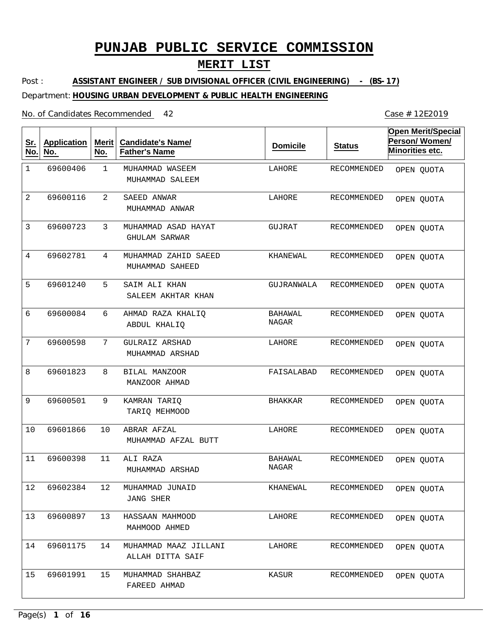### **MERIT LIST**

Post : Department: **HOUSING URBAN DEVELOPMENT & PUBLIC HEALTH ENGINEERING ASSISTANT ENGINEER / SUB DIVISIONAL OFFICER (CIVIL ENGINEERING) - (BS-17)**

#### No. of Candidates Recommended

1 2 3 4 5 6 7 8 9 10 11 12 13 14 15 MUHAMMAD WASEEM SAEED ANWAR MUHAMMAD ASAD HAYAT MUHAMMAD ZAHID SAEED SAIM ALI KHAN AHMAD RAZA KHALIQ GULRAIZ ARSHAD BILAL MANZOOR KAMRAN TARIQ ABRAR AFZAL ALI RAZA MUHAMMAD JUNAID HASSAAN MAHMOOD MUHAMMAD MAAZ JILLANI MUHAMMAD SHAHBAZ MUHAMMAD SALEEM MUHAMMAD ANWAR GHULAM SARWAR MUHAMMAD SAHEED SALEEM AKHTAR KHAN ABDUL KHALIQ MUHAMMAD ARSHAD MANZOOR AHMAD TARIQ MEHMOOD MUHAMMAD AFZAL BUTT MUHAMMAD ARSHAD JANG SHER MAHMOOD AHMED ALLAH DITTA SAIF FAREED AHMAD 1 2 3 4 5 6 7 8 9 10 11 12 13 14 15 69600406 69600116 69600723 69602781 69601240 69600084 69600598 69601823 69600501 69601866 69600398 69602384 69600897 69601175 69601991 LAHORE LAHORE GUJRAT KHANEWAL GUJRANWALA BAHAWAL NAGAR LAHORE FAISALABAD BHAKKAR LAHORE BAHAWAL NAGAR KHANEWAL LAHORE LAHORE KASUR RECOMMENDED RECOMMENDED RECOMMENDED RECOMMENDED RECOMMENDED RECOMMENDED RECOMMENDED RECOMMENDED RECOMMENDED RECOMMENDED RECOMMENDED RECOMMENDED RECOMMENDED RECOMMENDED RECOMMENDED **Sr. No. Application No. Merit No. Candidate's Name/ Father's Name Domicile Status Open Merit/Special Person/ Women/ Minorities etc.** OPEN QUOTA OPEN QUOTA OPEN QUOTA OPEN QUOTA OPEN QUOTA OPEN QUOTA OPEN QUOTA OPEN QUOTA OPEN QUOTA OPEN QUOTA OPEN QUOTA OPEN QUOTA OPEN QUOTA OPEN QUOTA OPEN QUOTA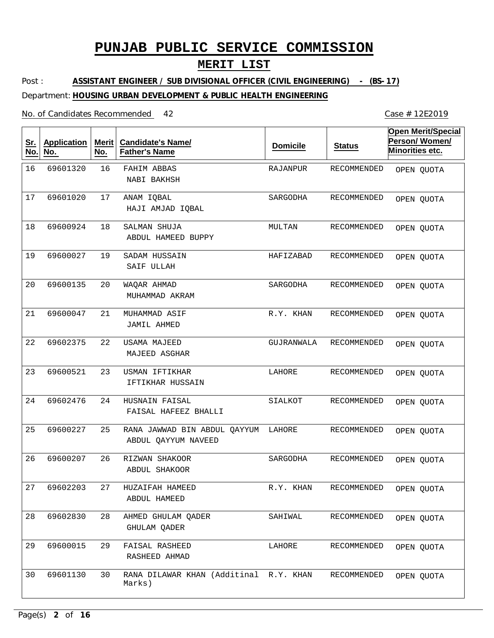## **MERIT LIST**

Post : Department: **HOUSING URBAN DEVELOPMENT & PUBLIC HEALTH ENGINEERING ASSISTANT ENGINEER / SUB DIVISIONAL OFFICER (CIVIL ENGINEERING) - (BS-17)**

#### No. of Candidates Recommended

| <u>Sr.</u><br>No. | <b>Application</b><br>No. | Merit<br>No. | <b>Candidate's Name/</b><br><b>Father's Name</b>    | <b>Domicile</b> | <b>Status</b> | Open Merit/Special<br>Person/Women/<br>Minorities etc. |
|-------------------|---------------------------|--------------|-----------------------------------------------------|-----------------|---------------|--------------------------------------------------------|
| 16                | 69601320                  | 16           | FAHIM ABBAS<br>NABI BAKHSH                          | RAJANPUR        | RECOMMENDED   | OPEN QUOTA                                             |
| 17                | 69601020                  | 17           | ANAM IQBAL<br>HAJI AMJAD IQBAL                      | SARGODHA        | RECOMMENDED   | OPEN QUOTA                                             |
| 18                | 69600924                  | 18           | SALMAN SHUJA<br>ABDUL HAMEED BUPPY                  | MULTAN          | RECOMMENDED   | OPEN QUOTA                                             |
| 19                | 69600027                  | 19           | SADAM HUSSAIN<br>SAIF ULLAH                         | HAFIZABAD       | RECOMMENDED   | OPEN QUOTA                                             |
| 20                | 69600135                  | 20           | WAQAR AHMAD<br>MUHAMMAD AKRAM                       | SARGODHA        | RECOMMENDED   | OPEN QUOTA                                             |
| 21                | 69600047                  | 21           | MUHAMMAD ASIF<br><b>JAMIL AHMED</b>                 | R.Y. KHAN       | RECOMMENDED   | OPEN QUOTA                                             |
| 22                | 69602375                  | 22           | <b>USAMA MAJEED</b><br>MAJEED ASGHAR                | GUJRANWALA      | RECOMMENDED   | OPEN QUOTA                                             |
| 23                | 69600521                  | 23           | USMAN IFTIKHAR<br>IFTIKHAR HUSSAIN                  | LAHORE          | RECOMMENDED   | OPEN QUOTA                                             |
| 24                | 69602476                  | 24           | HUSNAIN FAISAL<br>FAISAL HAFEEZ BHALLI              | SIALKOT         | RECOMMENDED   | OPEN QUOTA                                             |
| 25                | 69600227                  | 25           | RANA JAWWAD BIN ABDUL QAYYUM<br>ABDUL QAYYUM NAVEED | LAHORE          | RECOMMENDED   | OPEN QUOTA                                             |
| 26                | 69600207                  | 26           | RIZWAN SHAKOOR<br>ABDUL SHAKOOR                     | SARGODHA        | RECOMMENDED   | OPEN QUOTA                                             |
| 27                | 69602203                  | 27           | HUZAIFAH HAMEED<br>ABDUL HAMEED                     | R.Y. KHAN       | RECOMMENDED   | OPEN QUOTA                                             |
| 28                | 69602830                  | 28           | AHMED GHULAM QADER<br>GHULAM QADER                  | SAHIWAL         | RECOMMENDED   | OPEN QUOTA                                             |
| 29                | 69600015                  | 29           | FAISAL RASHEED<br>RASHEED AHMAD                     | LAHORE          | RECOMMENDED   | OPEN QUOTA                                             |
| 30                | 69601130                  | 30           | RANA DILAWAR KHAN (Additinal R.Y. KHAN<br>Marks)    |                 | RECOMMENDED   | OPEN QUOTA                                             |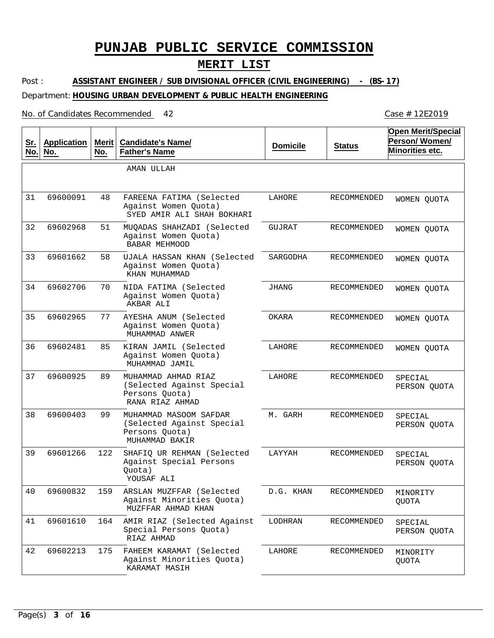## **MERIT LIST**

Post : **ASSISTANT ENGINEER / SUB DIVISIONAL OFFICER (CIVIL ENGINEERING) - (BS-17)**

### Department: **HOUSING URBAN DEVELOPMENT & PUBLIC HEALTH ENGINEERING**

#### No. of Candidates Recommended

| <u>Sr.</u><br>No. | <b>Application</b><br>No. | Merit<br>No. | <b>Candidate's Name/</b><br><b>Father's Name</b>                                        | <b>Domicile</b> | <b>Status</b>      | <b>Open Merit/Special</b><br>Person/Women/<br>Minorities etc. |
|-------------------|---------------------------|--------------|-----------------------------------------------------------------------------------------|-----------------|--------------------|---------------------------------------------------------------|
|                   |                           |              | AMAN ULLAH                                                                              |                 |                    |                                                               |
| 31                | 69600091                  | 48           | FAREENA FATIMA (Selected<br>Against Women Quota)<br>SYED AMIR ALI SHAH BOKHARI          | LAHORE          | RECOMMENDED        | WOMEN QUOTA                                                   |
| 32                | 69602968                  | 51           | MUOADAS SHAHZADI (Selected<br>Against Women Quota)<br><b>BABAR MEHMOOD</b>              | GUJRAT          | RECOMMENDED        | WOMEN QUOTA                                                   |
| 33                | 69601662                  | 58           | UJALA HASSAN KHAN (Selected<br>Against Women Quota)<br>KHAN MUHAMMAD                    | SARGODHA        | RECOMMENDED        | WOMEN QUOTA                                                   |
| 34                | 69602706                  | 70           | NIDA FATIMA (Selected<br>Against Women Quota)<br>AKBAR ALI                              | JHANG           | <b>RECOMMENDED</b> | WOMEN OUOTA                                                   |
| 35                | 69602965                  | 77           | AYESHA ANUM (Selected<br>Against Women Quota)<br>MUHAMMAD ANWER                         | OKARA           | <b>RECOMMENDED</b> | WOMEN QUOTA                                                   |
| 36                | 69602481                  | 85           | KIRAN JAMIL (Selected<br>Against Women Quota)<br>MUHAMMAD JAMIL                         | LAHORE          | RECOMMENDED        | WOMEN QUOTA                                                   |
| 37                | 69600925                  | 89           | MUHAMMAD AHMAD RIAZ<br>(Selected Against Special<br>Persons Quota)<br>RANA RIAZ AHMAD   | LAHORE          | RECOMMENDED        | SPECIAL<br>PERSON QUOTA                                       |
| 38                | 69600403                  | 99           | MUHAMMAD MASOOM SAFDAR<br>(Selected Against Special<br>Persons Quota)<br>MUHAMMAD BAKIR | M. GARH         | RECOMMENDED        | SPECIAL<br>PERSON QUOTA                                       |
| 39                | 69601266                  | 122          | SHAFIQ UR REHMAN (Selected<br>Against Special Persons<br>Quota)<br>YOUSAF ALI           | LAYYAH          | <b>RECOMMENDED</b> | SPECIAL<br>PERSON QUOTA                                       |
| 40                | 69600832                  | 159          | ARSLAN MUZFFAR (Selected<br>Against Minorities Quota)<br>MUZFFAR AHMAD KHAN             | D.G. KHAN       | RECOMMENDED        | MINORITY<br>QUOTA                                             |
| 41                | 69601610                  | 164          | AMIR RIAZ (Selected Against<br>Special Persons Quota)<br>RIAZ AHMAD                     | LODHRAN         | RECOMMENDED        | SPECIAL<br>PERSON QUOTA                                       |
| 42                | 69602213                  | 175          | FAHEEM KARAMAT (Selected<br>Against Minorities Quota)<br>KARAMAT MASIH                  | LAHORE          | RECOMMENDED        | MINORITY<br>QUOTA                                             |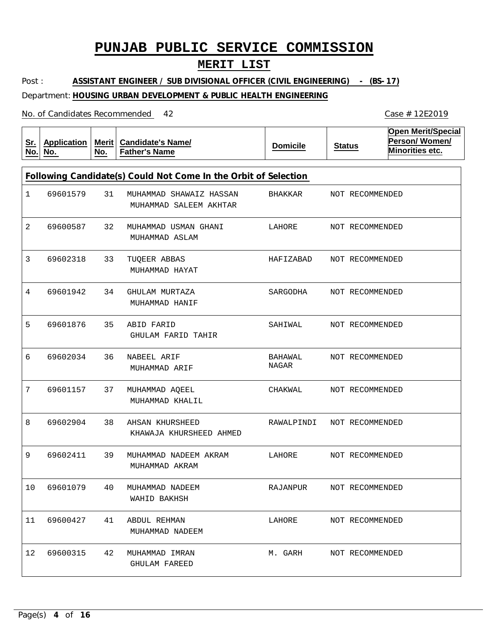## **MERIT LIST**

Post : **ASSISTANT ENGINEER / SUB DIVISIONAL OFFICER (CIVIL ENGINEERING) - (BS-17)**

### Department: **HOUSING URBAN DEVELOPMENT & PUBLIC HEALTH ENGINEERING**

| <u>Sr.</u><br>No. | <b>Application</b><br>No.                                       | Merit $ $<br>No. | <b>Candidate's Name/</b><br><b>Father's Name</b>  | <b>Domicile</b>  | <b>Status</b> |                 | <b>Open Merit/Special</b><br>Person/Women/<br>Minorities etc. |  |  |  |  |
|-------------------|-----------------------------------------------------------------|------------------|---------------------------------------------------|------------------|---------------|-----------------|---------------------------------------------------------------|--|--|--|--|
|                   | Following Candidate(s) Could Not Come In the Orbit of Selection |                  |                                                   |                  |               |                 |                                                               |  |  |  |  |
| 1                 | 69601579                                                        | 31               | MUHAMMAD SHAWAIZ HASSAN<br>MUHAMMAD SALEEM AKHTAR | BHAKKAR          |               | NOT RECOMMENDED |                                                               |  |  |  |  |
| 2                 | 69600587                                                        | 32               | MUHAMMAD USMAN GHANI<br>MUHAMMAD ASLAM            | LAHORE           |               | NOT RECOMMENDED |                                                               |  |  |  |  |
| 3                 | 69602318                                                        | 33               | TUQEER ABBAS<br>MUHAMMAD HAYAT                    | HAFIZABAD        |               | NOT RECOMMENDED |                                                               |  |  |  |  |
| 4                 | 69601942                                                        | 34               | GHULAM MURTAZA<br>MUHAMMAD HANIF                  | SARGODHA         |               | NOT RECOMMENDED |                                                               |  |  |  |  |
| 5                 | 69601876                                                        | 35               | ABID FARID<br>GHULAM FARID TAHIR                  | SAHIWAL          |               | NOT RECOMMENDED |                                                               |  |  |  |  |
| 6                 | 69602034                                                        | 36               | NABEEL ARIF<br>MUHAMMAD ARIF                      | BAHAWAL<br>NAGAR |               | NOT RECOMMENDED |                                                               |  |  |  |  |
| 7                 | 69601157                                                        | 37               | MUHAMMAD AQEEL<br>MUHAMMAD KHALIL                 | CHAKWAL          |               | NOT RECOMMENDED |                                                               |  |  |  |  |
| 8                 | 69602904                                                        | 38               | AHSAN KHURSHEED<br>KHAWAJA KHURSHEED AHMED        | RAWALPINDI       |               | NOT RECOMMENDED |                                                               |  |  |  |  |
| 9                 | 69602411                                                        | 39               | MUHAMMAD NADEEM AKRAM<br>MUHAMMAD AKRAM           | LAHORE           |               | NOT RECOMMENDED |                                                               |  |  |  |  |
| 10                | 69601079                                                        | 40               | MUHAMMAD NADEEM<br>WAHID BAKHSH                   | RAJANPUR         |               | NOT RECOMMENDED |                                                               |  |  |  |  |
| 11                | 69600427                                                        | 41               | ABDUL REHMAN<br>MUHAMMAD NADEEM                   | LAHORE           |               | NOT RECOMMENDED |                                                               |  |  |  |  |
| 12 <sup>°</sup>   | 69600315                                                        | 42               | MUHAMMAD IMRAN<br><b>GHULAM FAREED</b>            | M. GARH          |               | NOT RECOMMENDED |                                                               |  |  |  |  |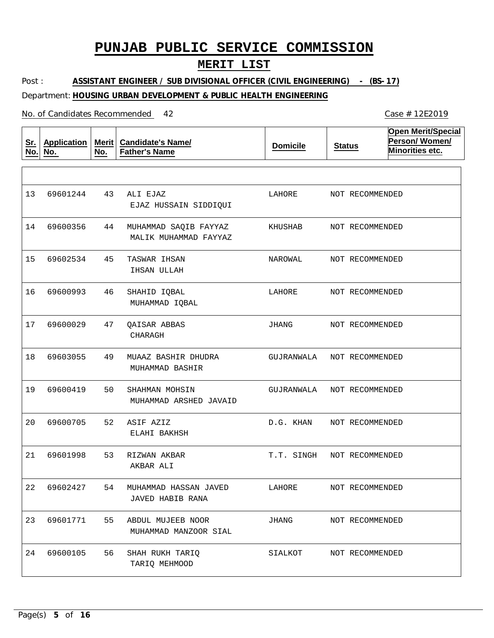## **MERIT LIST**

Post : Department: **HOUSING URBAN DEVELOPMENT & PUBLIC HEALTH ENGINEERING ASSISTANT ENGINEER / SUB DIVISIONAL OFFICER (CIVIL ENGINEERING) - (BS-17)**

| <u>Sr.</u><br>No. | <b>Application</b><br>No. | Merit $ $<br>No. | <b>Candidate's Name/</b><br><b>Father's Name</b> | <b>Domicile</b> | <b>Status</b>   | <b>Open Merit/Special</b><br>Person/Women/<br>Minorities etc. |
|-------------------|---------------------------|------------------|--------------------------------------------------|-----------------|-----------------|---------------------------------------------------------------|
|                   |                           |                  |                                                  |                 |                 |                                                               |
| 13                | 69601244                  | 43               | ALI EJAZ<br>EJAZ HUSSAIN SIDDIQUI                | LAHORE          | NOT RECOMMENDED |                                                               |
| 14                | 69600356                  | 44               | MUHAMMAD SAQIB FAYYAZ<br>MALIK MUHAMMAD FAYYAZ   | KHUSHAB         | NOT RECOMMENDED |                                                               |
| 15                | 69602534                  | 45               | TASWAR IHSAN<br>IHSAN ULLAH                      | NAROWAL         | NOT RECOMMENDED |                                                               |
| 16                | 69600993                  | 46               | SHAHID IQBAL<br>MUHAMMAD IQBAL                   | LAHORE          | NOT RECOMMENDED |                                                               |
| 17                | 69600029                  | 47               | OAISAR ABBAS<br>CHARAGH                          | JHANG           | NOT RECOMMENDED |                                                               |
| 18                | 69603055                  | 49               | MUAAZ BASHIR DHUDRA<br>MUHAMMAD BASHIR           | GUJRANWALA      | NOT RECOMMENDED |                                                               |
| 19                | 69600419                  | 50               | SHAHMAN MOHSIN<br>MUHAMMAD ARSHED JAVAID         | GUJRANWALA      | NOT RECOMMENDED |                                                               |
| 20                | 69600705                  | 52               | ASIF AZIZ<br>ELAHI BAKHSH                        | D.G. KHAN       | NOT RECOMMENDED |                                                               |
| 21                | 69601998                  | 53               | RIZWAN AKBAR<br>AKBAR ALI                        | T.T. SINGH      | NOT RECOMMENDED |                                                               |
|                   | 22 69602427               | 54               | MUHAMMAD HASSAN JAVED<br>JAVED HABIB RANA        | LAHORE          | NOT RECOMMENDED |                                                               |
| 23                | 69601771                  | 55               | ABDUL MUJEEB NOOR<br>MUHAMMAD MANZOOR SIAL       | JHANG           | NOT RECOMMENDED |                                                               |
| 24                | 69600105                  | 56               | SHAH RUKH TARIQ<br>TARIQ MEHMOOD                 | SIALKOT         | NOT RECOMMENDED |                                                               |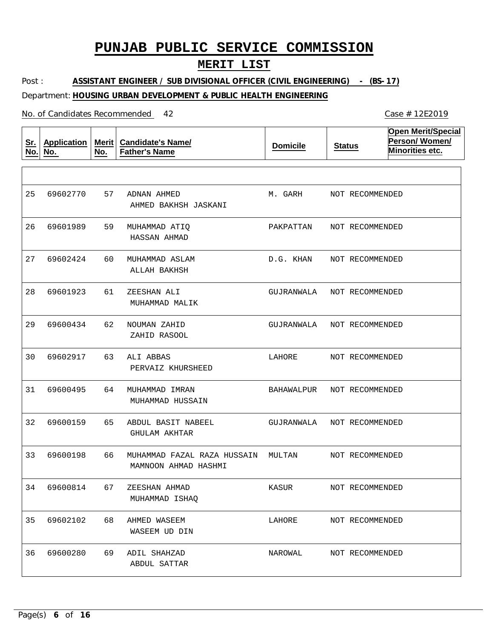## **MERIT LIST**

Post : Department: **HOUSING URBAN DEVELOPMENT & PUBLIC HEALTH ENGINEERING ASSISTANT ENGINEER / SUB DIVISIONAL OFFICER (CIVIL ENGINEERING) - (BS-17)**

| <u>Sr.</u><br>No. | <b>Application</b><br>No. | Merit<br>No. | <b>Candidate's Name/</b><br><b>Father's Name</b>    | <b>Domicile</b> | <b>Status</b>   | <b>Open Merit/Special</b><br>Person/Women/<br>Minorities etc. |
|-------------------|---------------------------|--------------|-----------------------------------------------------|-----------------|-----------------|---------------------------------------------------------------|
|                   |                           |              |                                                     |                 |                 |                                                               |
| 25                | 69602770                  | 57           | ADNAN AHMED<br>AHMED BAKHSH JASKANI                 | M. GARH         | NOT RECOMMENDED |                                                               |
| 26                | 69601989                  | 59           | MUHAMMAD ATIQ<br>HASSAN AHMAD                       | PAKPATTAN       | NOT RECOMMENDED |                                                               |
| 27                | 69602424                  | 60           | MUHAMMAD ASLAM<br>ALLAH BAKHSH                      | D.G. KHAN       | NOT RECOMMENDED |                                                               |
| 28                | 69601923                  | 61           | ZEESHAN ALI<br>MUHAMMAD MALIK                       | GUJRANWALA      | NOT RECOMMENDED |                                                               |
| 29                | 69600434                  | 62           | NOUMAN ZAHID<br>ZAHID RASOOL                        | GUJRANWALA      | NOT RECOMMENDED |                                                               |
| 30                | 69602917                  | 63           | ALI ABBAS<br>PERVAIZ KHURSHEED                      | LAHORE          | NOT RECOMMENDED |                                                               |
| 31                | 69600495                  | 64           | MUHAMMAD IMRAN<br>MUHAMMAD HUSSAIN                  | BAHAWALPUR      | NOT RECOMMENDED |                                                               |
| 32                | 69600159                  | 65           | ABDUL BASIT NABEEL<br>GHULAM AKHTAR                 | GUJRANWALA      | NOT RECOMMENDED |                                                               |
| 33                | 69600198                  | 66           | MUHAMMAD FAZAL RAZA HUSSAIN<br>MAMNOON AHMAD HASHMI | MULTAN          | NOT RECOMMENDED |                                                               |
| 34                | 69600814                  | 67           | ZEESHAN AHMAD<br>MUHAMMAD ISHAQ                     | KASUR           | NOT RECOMMENDED |                                                               |
| 35                | 69602102                  | 68           | AHMED WASEEM<br>WASEEM UD DIN                       | LAHORE          | NOT RECOMMENDED |                                                               |
| 36                | 69600280                  | 69           | ADIL SHAHZAD<br>ABDUL SATTAR                        | NAROWAL         | NOT RECOMMENDED |                                                               |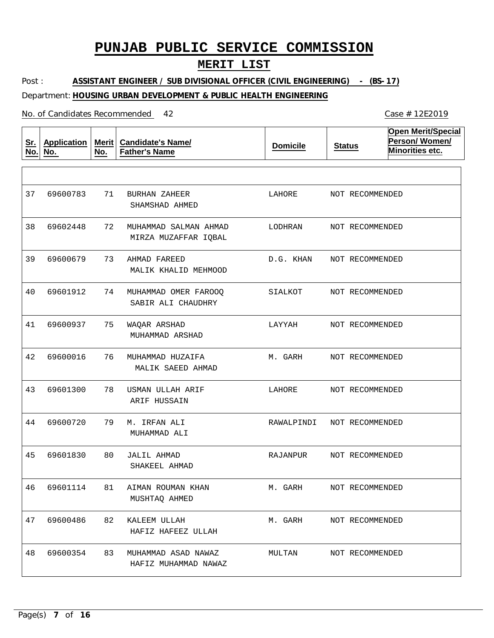## **MERIT LIST**

Post : Department: **HOUSING URBAN DEVELOPMENT & PUBLIC HEALTH ENGINEERING ASSISTANT ENGINEER / SUB DIVISIONAL OFFICER (CIVIL ENGINEERING) - (BS-17)**

| <u>Sr.</u><br>No. | <b>Application</b><br>No. | <b>Merit</b><br>No. | <b>Candidate's Name/</b><br><b>Father's Name</b> | <b>Domicile</b> | <b>Status</b>           | <b>Open Merit/Special</b><br>Person/Women/<br>Minorities etc. |
|-------------------|---------------------------|---------------------|--------------------------------------------------|-----------------|-------------------------|---------------------------------------------------------------|
|                   |                           |                     |                                                  |                 |                         |                                                               |
| 37                | 69600783                  | 71                  | BURHAN ZAHEER<br>SHAMSHAD AHMED                  | LAHORE          | NOT RECOMMENDED         |                                                               |
| 38                | 69602448                  | 72                  | MUHAMMAD SALMAN AHMAD<br>MIRZA MUZAFFAR IQBAL    | LODHRAN         | NOT RECOMMENDED         |                                                               |
| 39                | 69600679                  | 73                  | AHMAD FAREED<br>MALIK KHALID MEHMOOD             | D.G. KHAN       | NOT RECOMMENDED         |                                                               |
| 40                | 69601912                  | 74                  | MUHAMMAD OMER FAROOQ<br>SABIR ALI CHAUDHRY       | SIALKOT         | NOT RECOMMENDED         |                                                               |
| 41                | 69600937                  | 75                  | WAQAR ARSHAD<br>MUHAMMAD ARSHAD                  | LAYYAH          | NOT RECOMMENDED         |                                                               |
| 42                | 69600016                  | 76                  | MUHAMMAD HUZAIFA<br>MALIK SAEED AHMAD            | M. GARH         | NOT RECOMMENDED         |                                                               |
| 43                | 69601300                  | 78                  | USMAN ULLAH ARIF<br>ARIF HUSSAIN                 | LAHORE          | NOT RECOMMENDED         |                                                               |
| 44                | 69600720                  | 79                  | M. IRFAN ALI<br>MUHAMMAD ALI                     | RAWALPINDI      | NOT RECOMMENDED         |                                                               |
| 45                | 69601830                  | 80                  | <b>JALIL AHMAD</b><br>SHAKEEL AHMAD              | RAJANPUR        | NOT RECOMMENDED         |                                                               |
|                   | 46 69601114 81            |                     | AIMAN ROUMAN KHAN<br>MUSHTAQ AHMED               |                 | M. GARH NOT RECOMMENDED |                                                               |
| 47                | 69600486                  | 82                  | KALEEM ULLAH<br>HAFIZ HAFEEZ ULLAH               | M. GARH         | NOT RECOMMENDED         |                                                               |
| 48                | 69600354                  | 83                  | MUHAMMAD ASAD NAWAZ<br>HAFIZ MUHAMMAD NAWAZ      | MULTAN          | NOT RECOMMENDED         |                                                               |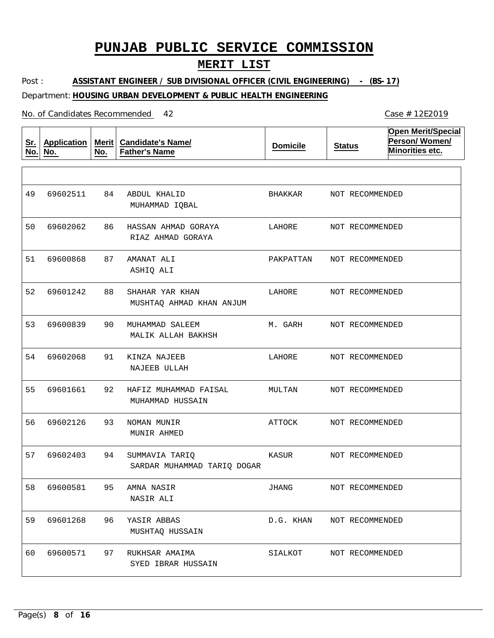## **MERIT LIST**

Post : Department: **HOUSING URBAN DEVELOPMENT & PUBLIC HEALTH ENGINEERING ASSISTANT ENGINEER / SUB DIVISIONAL OFFICER (CIVIL ENGINEERING) - (BS-17)**

| <u>Sr.</u><br>No. | <b>Application</b><br>No. | Merit $ $<br>No. | <b>Candidate's Name/</b><br><b>Father's Name</b> | <b>Domicile</b> | <b>Status</b>   | <b>Open Merit/Special</b><br>Person/Women/<br>Minorities etc. |
|-------------------|---------------------------|------------------|--------------------------------------------------|-----------------|-----------------|---------------------------------------------------------------|
|                   |                           |                  |                                                  |                 |                 |                                                               |
| 49                | 69602511                  | 84               | ABDUL KHALID<br>MUHAMMAD IQBAL                   | BHAKKAR         | NOT RECOMMENDED |                                                               |
| 50                | 69602062                  | 86               | HASSAN AHMAD GORAYA<br>RIAZ AHMAD GORAYA         | LAHORE          | NOT RECOMMENDED |                                                               |
| 51                | 69600868                  | 87               | AMANAT ALI<br>ASHIQ ALI                          | PAKPATTAN       | NOT RECOMMENDED |                                                               |
| 52                | 69601242                  | 88               | SHAHAR YAR KHAN<br>MUSHTAQ AHMAD KHAN ANJUM      | LAHORE          | NOT RECOMMENDED |                                                               |
| 53                | 69600839                  | 90               | MUHAMMAD SALEEM<br>MALIK ALLAH BAKHSH            | M. GARH         | NOT RECOMMENDED |                                                               |
| 54                | 69602068                  | 91               | KINZA NAJEEB<br>NAJEEB ULLAH                     | LAHORE          | NOT RECOMMENDED |                                                               |
| 55                | 69601661                  | 92               | HAFIZ MUHAMMAD FAISAL<br>MUHAMMAD HUSSAIN        | MULTAN          | NOT RECOMMENDED |                                                               |
| 56                | 69602126                  | 93               | NOMAN MUNIR<br>MUNIR AHMED                       | ATTOCK          | NOT RECOMMENDED |                                                               |
| 57                | 69602403                  | 94               | SUMMAVIA TARIQ<br>SARDAR MUHAMMAD TARIQ DOGAR    | KASUR           | NOT RECOMMENDED |                                                               |
|                   | 58 69600581               |                  | 95 AMNA NASIR<br>NASIR ALI                       | JHANG           | NOT RECOMMENDED |                                                               |
| 59                | 69601268                  | 96               | YASIR ABBAS<br>MUSHTAQ HUSSAIN                   | D.G. KHAN       | NOT RECOMMENDED |                                                               |
| 60                | 69600571                  | 97               | RUKHSAR AMAIMA<br>SYED IBRAR HUSSAIN             | SIALKOT         | NOT RECOMMENDED |                                                               |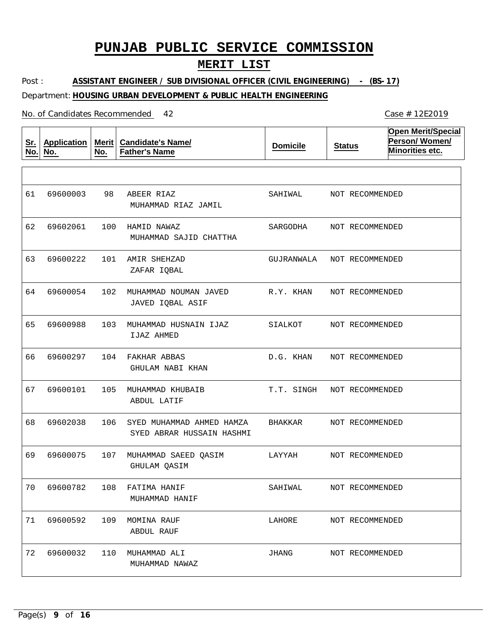## **MERIT LIST**

Post : Department: **HOUSING URBAN DEVELOPMENT & PUBLIC HEALTH ENGINEERING ASSISTANT ENGINEER / SUB DIVISIONAL OFFICER (CIVIL ENGINEERING) - (BS-17)**

| <u>Sr.</u><br>No. | <b>Application</b><br>No. | Merit<br>No. | <b>Candidate's Name/</b><br><b>Father's Name</b>       | <b>Domicile</b> | <b>Status</b>   | <b>Open Merit/Special</b><br>Person/Women/<br>Minorities etc. |
|-------------------|---------------------------|--------------|--------------------------------------------------------|-----------------|-----------------|---------------------------------------------------------------|
|                   |                           |              |                                                        |                 |                 |                                                               |
| 61                | 69600003                  | 98           | ABEER RIAZ<br>MUHAMMAD RIAZ JAMIL                      | SAHIWAL         | NOT RECOMMENDED |                                                               |
| 62                | 69602061                  | 100          | HAMID NAWAZ<br>MUHAMMAD SAJID CHATTHA                  | SARGODHA        | NOT RECOMMENDED |                                                               |
| 63                | 69600222                  | 101          | AMIR SHEHZAD<br>ZAFAR IQBAL                            | GUJRANWALA      | NOT RECOMMENDED |                                                               |
| 64                | 69600054                  | 102          | MUHAMMAD NOUMAN JAVED<br>JAVED IQBAL ASIF              | R.Y. KHAN       | NOT RECOMMENDED |                                                               |
| 65                | 69600988                  | 103          | MUHAMMAD HUSNAIN IJAZ<br>IJAZ AHMED                    | SIALKOT         | NOT RECOMMENDED |                                                               |
| 66                | 69600297                  | 104          | FAKHAR ABBAS<br>GHULAM NABI KHAN                       | D.G. KHAN       | NOT RECOMMENDED |                                                               |
| 67                | 69600101                  | 105          | MUHAMMAD KHUBAIB<br>ABDUL LATIF                        | T.T. SINGH      | NOT RECOMMENDED |                                                               |
| 68                | 69602038                  | 106          | SYED MUHAMMAD AHMED HAMZA<br>SYED ABRAR HUSSAIN HASHMI | BHAKKAR         | NOT RECOMMENDED |                                                               |
| 69                | 69600075                  | 107          | MUHAMMAD SAEED QASIM<br>GHULAM QASIM                   | LAYYAH          | NOT RECOMMENDED |                                                               |
|                   | 70 69600782               |              | 108 FATIMA HANIF<br>MUHAMMAD HANIF                     | SAHIWAL         | NOT RECOMMENDED |                                                               |
| 71                | 69600592                  | 109          | MOMINA RAUF<br>ABDUL RAUF                              | LAHORE          | NOT RECOMMENDED |                                                               |
| 72                | 69600032                  | 110          | MUHAMMAD ALI<br>MUHAMMAD NAWAZ                         | JHANG           | NOT RECOMMENDED |                                                               |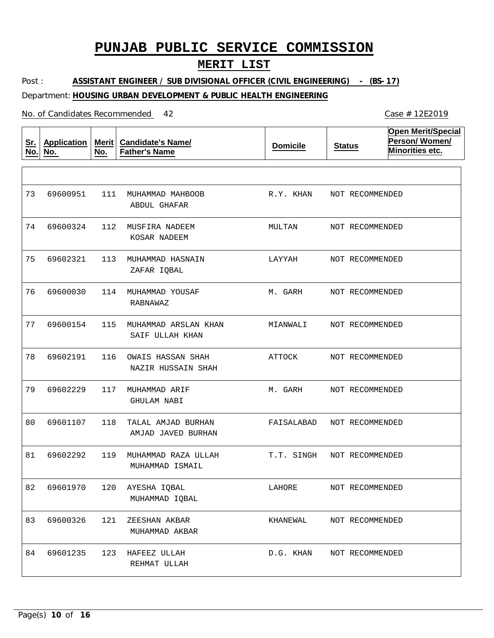## **MERIT LIST**

Post : Department: **HOUSING URBAN DEVELOPMENT & PUBLIC HEALTH ENGINEERING ASSISTANT ENGINEER / SUB DIVISIONAL OFFICER (CIVIL ENGINEERING) - (BS-17)**

| <u>Sr.</u><br>No. | <b>Application</b><br>No. | Merit $ $<br>No. | <b>Candidate's Name/</b><br><b>Father's Name</b> | <b>Domicile</b> | <b>Status</b>   | <b>Open Merit/Special</b><br>Person/Women/<br>Minorities etc. |
|-------------------|---------------------------|------------------|--------------------------------------------------|-----------------|-----------------|---------------------------------------------------------------|
|                   |                           |                  |                                                  |                 |                 |                                                               |
| 73                | 69600951                  | 111              | MUHAMMAD MAHBOOB<br>ABDUL GHAFAR                 | R.Y. KHAN       | NOT RECOMMENDED |                                                               |
| 74                | 69600324                  | 112              | MUSFIRA NADEEM<br>KOSAR NADEEM                   | MULTAN          | NOT RECOMMENDED |                                                               |
| 75                | 69602321                  | 113              | MUHAMMAD HASNAIN<br>ZAFAR IQBAL                  | LAYYAH          | NOT RECOMMENDED |                                                               |
| 76                | 69600030                  | 114              | MUHAMMAD YOUSAF<br>RABNAWAZ                      | M. GARH         | NOT RECOMMENDED |                                                               |
| 77                | 69600154                  | 115              | MUHAMMAD ARSLAN KHAN<br>SAIF ULLAH KHAN          | MIANWALI        | NOT RECOMMENDED |                                                               |
| 78                | 69602191                  | 116              | OWAIS HASSAN SHAH<br>NAZIR HUSSAIN SHAH          | ATTOCK          | NOT RECOMMENDED |                                                               |
| 79                | 69602229                  | 117              | MUHAMMAD ARIF<br>GHULAM NABI                     | M. GARH         | NOT RECOMMENDED |                                                               |
| 80                | 69601107                  | 118              | TALAL AMJAD BURHAN<br>AMJAD JAVED BURHAN         | FAISALABAD      | NOT RECOMMENDED |                                                               |
| 81                | 69602292                  | 119              | MUHAMMAD RAZA ULLAH<br>MUHAMMAD ISMAIL           | T.T. SINGH      | NOT RECOMMENDED |                                                               |
| 82                | 69601970                  |                  | 120 AYESHA IQBAL<br>MUHAMMAD IQBAL               | LAHORE          | NOT RECOMMENDED |                                                               |
| 83                | 69600326                  | 121              | ZEESHAN AKBAR<br>MUHAMMAD AKBAR                  | KHANEWAL        | NOT RECOMMENDED |                                                               |
| 84                | 69601235                  | 123              | HAFEEZ ULLAH<br>REHMAT ULLAH                     | D.G. KHAN       | NOT RECOMMENDED |                                                               |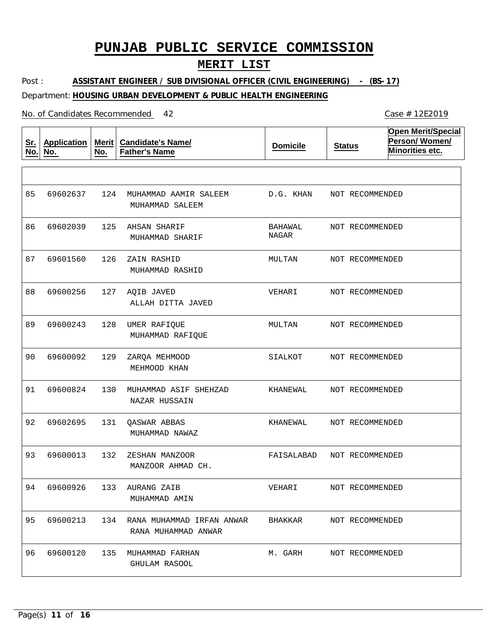## **MERIT LIST**

Post : Department: **HOUSING URBAN DEVELOPMENT & PUBLIC HEALTH ENGINEERING ASSISTANT ENGINEER / SUB DIVISIONAL OFFICER (CIVIL ENGINEERING) - (BS-17)**

#### No. of Candidates Recommended

| <u>Sr.</u><br>No. | <b>Application</b><br>No. | Merit<br>No. | <b>Candidate's Name/</b><br><b>Father's Name</b>     | <b>Domicile</b>  | <b>Status</b>   | <b>Open Merit/Special</b><br>Person/Women/<br>Minorities etc. |
|-------------------|---------------------------|--------------|------------------------------------------------------|------------------|-----------------|---------------------------------------------------------------|
|                   |                           |              |                                                      |                  |                 |                                                               |
| 85                | 69602637                  | 124          | MUHAMMAD AAMIR SALEEM<br>MUHAMMAD SALEEM             | D.G. KHAN        | NOT RECOMMENDED |                                                               |
| 86                | 69602039                  | 125          | AHSAN SHARIF<br>MUHAMMAD SHARIF                      | BAHAWAL<br>NAGAR | NOT RECOMMENDED |                                                               |
| 87                | 69601560                  | 126          | ZAIN RASHID<br>MUHAMMAD RASHID                       | MULTAN           | NOT RECOMMENDED |                                                               |
| 88                | 69600256                  | 127          | AQIB JAVED<br>ALLAH DITTA JAVED                      | VEHARI           | NOT RECOMMENDED |                                                               |
| 89                | 69600243                  | 128          | UMER RAFIQUE<br>MUHAMMAD RAFIQUE                     | MULTAN           | NOT RECOMMENDED |                                                               |
| 90                | 69600092                  | 129          | ZARQA MEHMOOD<br>MEHMOOD KHAN                        | SIALKOT          | NOT RECOMMENDED |                                                               |
| 91                | 69600824                  | 130          | MUHAMMAD ASIF SHEHZAD<br>NAZAR HUSSAIN               | KHANEWAL         | NOT RECOMMENDED |                                                               |
| 92                | 69602695                  | 131          | <b>QASWAR ABBAS</b><br>MUHAMMAD NAWAZ                | KHANEWAL         | NOT RECOMMENDED |                                                               |
| 93                | 69600013                  | 132          | ZESHAN MANZOOR<br>MANZOOR AHMAD CH.                  | FAISALABAD       | NOT RECOMMENDED |                                                               |
|                   | 94 69600926               |              | 133 AURANG ZAIB<br>MUHAMMAD AMIN                     | VEHARI           | NOT RECOMMENDED |                                                               |
| 95                | 69600213                  |              | 134 RANA MUHAMMAD IRFAN ANWAR<br>RANA MUHAMMAD ANWAR | BHAKKAR          | NOT RECOMMENDED |                                                               |
| 96                | 69600120                  | 135          | MUHAMMAD FARHAN<br>GHULAM RASOOL                     | M. GARH          | NOT RECOMMENDED |                                                               |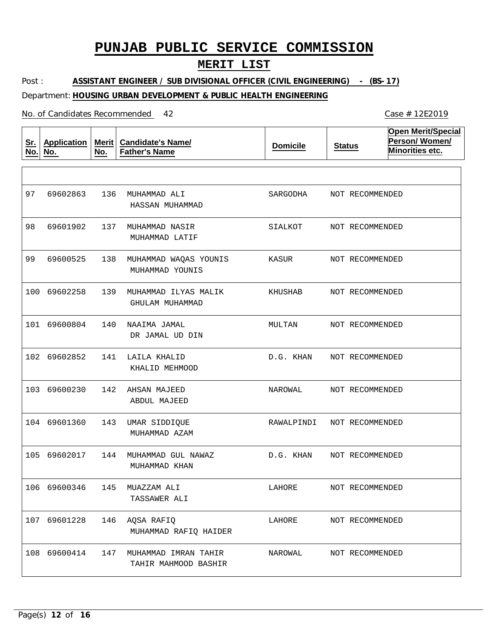## **MERIT LIST**

Post : Department: **HOUSING URBAN DEVELOPMENT & PUBLIC HEALTH ENGINEERING ASSISTANT ENGINEER / SUB DIVISIONAL OFFICER (CIVIL ENGINEERING) - (BS-17)**

| <u>Sr.</u><br>No. | <b>Application</b><br>No. | <b>Merit</b><br>No. | <b>Candidate's Name/</b><br><b>Father's Name</b> | <b>Domicile</b> | <b>Status</b>   | <b>Open Merit/Special</b><br>Person/Women/<br>Minorities etc. |
|-------------------|---------------------------|---------------------|--------------------------------------------------|-----------------|-----------------|---------------------------------------------------------------|
|                   |                           |                     |                                                  |                 |                 |                                                               |
| 97                | 69602863                  | 136                 | MUHAMMAD ALI<br>HASSAN MUHAMMAD                  | SARGODHA        | NOT RECOMMENDED |                                                               |
| 98                | 69601902                  | 137                 | MUHAMMAD NASIR<br>MUHAMMAD LATIF                 | SIALKOT         | NOT RECOMMENDED |                                                               |
| 99                | 69600525                  | 138                 | MUHAMMAD WAQAS YOUNIS<br>MUHAMMAD YOUNIS         | KASUR           | NOT RECOMMENDED |                                                               |
| 100               | 69602258                  | 139                 | MUHAMMAD ILYAS MALIK<br>GHULAM MUHAMMAD          | KHUSHAB         | NOT RECOMMENDED |                                                               |
| 101               | 69600804                  | 140                 | NAAIMA JAMAL<br>DR JAMAL UD DIN                  | MULTAN          | NOT RECOMMENDED |                                                               |
|                   | 102 69602852              | 141                 | LAILA KHALID<br>KHALID MEHMOOD                   | D.G. KHAN       | NOT RECOMMENDED |                                                               |
| 103               | 69600230                  | 142                 | AHSAN MAJEED<br>ABDUL MAJEED                     | NAROWAL         | NOT RECOMMENDED |                                                               |
|                   | 104 69601360              | 143                 | UMAR SIDDIQUE<br>MUHAMMAD AZAM                   | RAWALPINDI      | NOT RECOMMENDED |                                                               |
| 105               | 69602017                  | 144                 | MUHAMMAD GUL NAWAZ<br>MUHAMMAD KHAN              | D.G. KHAN       | NOT RECOMMENDED |                                                               |
|                   | 106 69600346              |                     | 145 MUAZZAM ALI<br>TASSAWER ALI                  | LAHORE          | NOT RECOMMENDED |                                                               |
|                   | 107 69601228              | 146                 | AQSA RAFIQ<br>MUHAMMAD RAFIO HAIDER              | LAHORE          | NOT RECOMMENDED |                                                               |
|                   | 108 69600414              | 147                 | MUHAMMAD IMRAN TAHIR<br>TAHIR MAHMOOD BASHIR     | NAROWAL         | NOT RECOMMENDED |                                                               |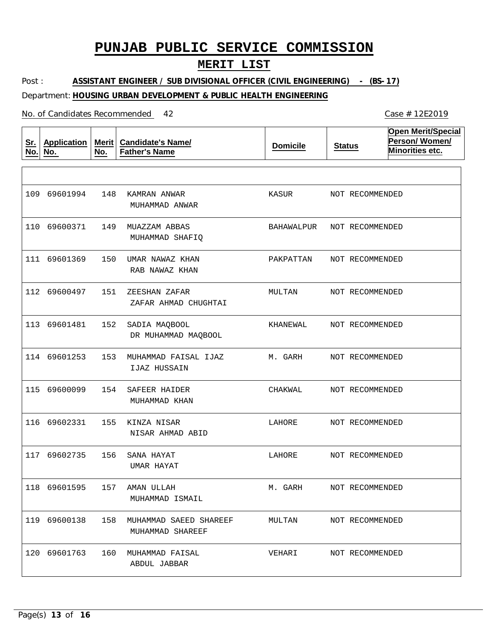## **MERIT LIST**

Post : Department: **HOUSING URBAN DEVELOPMENT & PUBLIC HEALTH ENGINEERING ASSISTANT ENGINEER / SUB DIVISIONAL OFFICER (CIVIL ENGINEERING) - (BS-17)**

#### No. of Candidates Recommended

| <u>Sr.</u><br>No. | <b>Application</b><br>No. | <b>Merit</b><br>No. | <b>Candidate's Name/</b><br><b>Father's Name</b> | <b>Domicile</b> | <b>Status</b>   | <b>Open Merit/Special</b><br>Person/Women/<br>Minorities etc. |
|-------------------|---------------------------|---------------------|--------------------------------------------------|-----------------|-----------------|---------------------------------------------------------------|
|                   |                           |                     |                                                  |                 |                 |                                                               |
|                   | 109 69601994              | 148                 | KAMRAN ANWAR<br>MUHAMMAD ANWAR                   | KASUR           | NOT RECOMMENDED |                                                               |
|                   | 110 69600371              | 149                 | MUAZZAM ABBAS<br>MUHAMMAD SHAFIQ                 | BAHAWALPUR      | NOT RECOMMENDED |                                                               |
|                   | 111 69601369              | 150                 | UMAR NAWAZ KHAN<br>RAB NAWAZ KHAN                | PAKPATTAN       | NOT RECOMMENDED |                                                               |
|                   | 112 69600497              | 151                 | ZEESHAN ZAFAR<br>ZAFAR AHMAD CHUGHTAI            | MULTAN          | NOT RECOMMENDED |                                                               |
|                   | 113 69601481              | 152                 | SADIA MAQBOOL<br>DR MUHAMMAD MAQBOOL             | KHANEWAL        | NOT RECOMMENDED |                                                               |
|                   | 114 69601253              | 153                 | MUHAMMAD FAISAL IJAZ<br>IJAZ HUSSAIN             | M. GARH         | NOT RECOMMENDED |                                                               |
|                   | 115 69600099              | 154                 | SAFEER HAIDER<br>MUHAMMAD KHAN                   | CHAKWAL         | NOT RECOMMENDED |                                                               |
|                   | 116 69602331              | 155                 | KINZA NISAR<br>NISAR AHMAD ABID                  | LAHORE          | NOT RECOMMENDED |                                                               |
| 117               | 69602735                  | 156                 | SANA HAYAT<br>UMAR HAYAT                         | LAHORE          | NOT RECOMMENDED |                                                               |
|                   |                           |                     | 118 69601595 157 AMAN ULLAH<br>MUHAMMAD ISMAIL   | M. GARH         | NOT RECOMMENDED |                                                               |
|                   | 119 69600138              |                     | 158 MUHAMMAD SAEED SHAREEF<br>MUHAMMAD SHAREEF   | MULTAN          | NOT RECOMMENDED |                                                               |
|                   | 120 69601763              |                     | 160 MUHAMMAD FAISAL<br>ABDUL JABBAR              | VEHARI          | NOT RECOMMENDED |                                                               |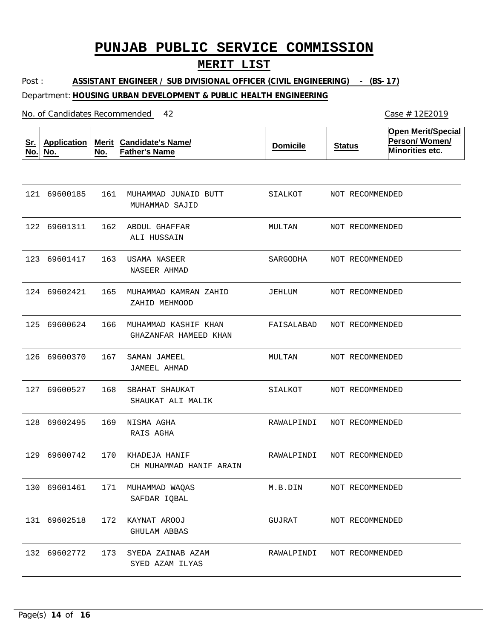## **MERIT LIST**

Post : Department: **HOUSING URBAN DEVELOPMENT & PUBLIC HEALTH ENGINEERING ASSISTANT ENGINEER / SUB DIVISIONAL OFFICER (CIVIL ENGINEERING) - (BS-17)**

| <u>Sr.</u><br>No. | <b>Application</b><br>No. | Merit $ $<br>No. | <b>Candidate's Name/</b><br><b>Father's Name</b> | <b>Domicile</b> | <b>Status</b>   | <b>Open Merit/Special</b><br>Person/Women/<br>Minorities etc. |
|-------------------|---------------------------|------------------|--------------------------------------------------|-----------------|-----------------|---------------------------------------------------------------|
|                   |                           |                  |                                                  |                 |                 |                                                               |
|                   | 121 69600185              | 161              | MUHAMMAD JUNAID BUTT<br>MUHAMMAD SAJID           | SIALKOT         | NOT RECOMMENDED |                                                               |
|                   | 122 69601311              | 162              | ABDUL GHAFFAR<br>ALI HUSSAIN                     | MULTAN          | NOT RECOMMENDED |                                                               |
|                   | 123 69601417              | 163              | USAMA NASEER<br>NASEER AHMAD                     | SARGODHA        | NOT RECOMMENDED |                                                               |
|                   | 124 69602421              | 165              | MUHAMMAD KAMRAN ZAHID<br>ZAHID MEHMOOD           | JEHLUM          | NOT RECOMMENDED |                                                               |
|                   | 125 69600624              | 166              | MUHAMMAD KASHIF KHAN<br>GHAZANFAR HAMEED KHAN    | FAISALABAD      | NOT RECOMMENDED |                                                               |
|                   | 126 69600370              | 167              | SAMAN JAMEEL<br>JAMEEL AHMAD                     | MULTAN          | NOT RECOMMENDED |                                                               |
|                   | 127 69600527              | 168              | SBAHAT SHAUKAT<br>SHAUKAT ALI MALIK              | SIALKOT         | NOT RECOMMENDED |                                                               |
|                   | 128 69602495              | 169              | NISMA AGHA<br>RAIS AGHA                          | RAWALPINDI      | NOT RECOMMENDED |                                                               |
|                   | 129 69600742              | 170              | KHADEJA HANIF<br>CH MUHAMMAD HANIF ARAIN         | RAWALPINDI      | NOT RECOMMENDED |                                                               |
|                   | 130 69601461              |                  | 171 MUHAMMAD WAQAS<br>SAFDAR IQBAL               | M.B.DIN         | NOT RECOMMENDED |                                                               |
|                   | 131 69602518              | 172              | KAYNAT AROOJ<br>GHULAM ABBAS                     | GUJRAT          | NOT RECOMMENDED |                                                               |
|                   | 132 69602772              | 173              | SYEDA ZAINAB AZAM<br>SYED AZAM ILYAS             | RAWALPINDI      | NOT RECOMMENDED |                                                               |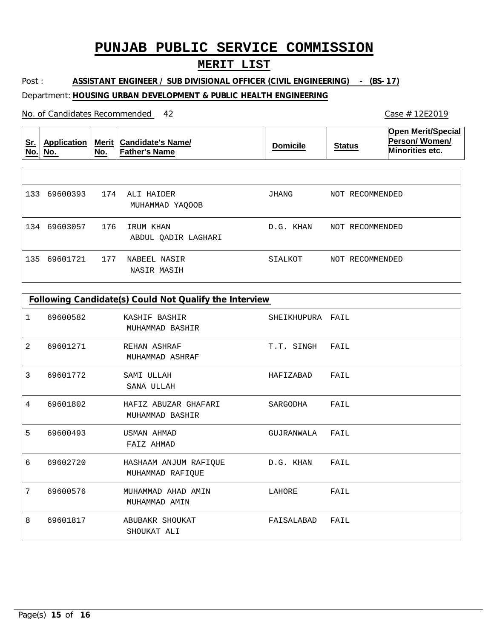## **MERIT LIST**

Post : **ASSISTANT ENGINEER / SUB DIVISIONAL OFFICER (CIVIL ENGINEERING) - (BS-17)**

### Department: **HOUSING URBAN DEVELOPMENT & PUBLIC HEALTH ENGINEERING**

| <u>Sr.</u><br>No. | Application<br>No. | Merit $ $<br>No. | <b>Candidate's Name/</b><br><b>Father's Name</b> | <b>Domicile</b> | <b>Status</b>      | <b>Open Merit/Special</b><br>Person/Women/<br>Minorities etc. |
|-------------------|--------------------|------------------|--------------------------------------------------|-----------------|--------------------|---------------------------------------------------------------|
|                   |                    |                  |                                                  |                 |                    |                                                               |
| 133               | 69600393           | 174              | ALI HAIDER<br>MUHAMMAD YAOOOB                    | JHANG           | NOT RECOMMENDED    |                                                               |
| 134               | 69603057           | 176              | IRUM KHAN<br>ABDUL OADIR LAGHARI                 | D.G. KHAN       | NOT RECOMMENDED    |                                                               |
| 135               | 69601721           | 177              | NABEEL NASIR<br>NASIR MASIH                      | SIALKOT         | RECOMMENDED<br>NOT |                                                               |

|   | Following Candidate(s) Could Not Qualify the Interview |                                           |                  |      |  |
|---|--------------------------------------------------------|-------------------------------------------|------------------|------|--|
| 1 | 69600582                                               | KASHIF BASHIR<br>MUHAMMAD BASHIR          | SHEIKHUPURA FAIL |      |  |
| 2 | 69601271                                               | REHAN ASHRAF<br>MUHAMMAD ASHRAF           | T.T. SINGH       | FAIL |  |
| 3 | 69601772                                               | SAMI ULLAH<br>SANA ULLAH                  | HAFIZABAD        | FAIL |  |
| 4 | 69601802                                               | HAFIZ ABUZAR GHAFARI<br>MUHAMMAD BASHIR   | SARGODHA         | FAIL |  |
| 5 | 69600493                                               | <b>USMAN AHMAD</b><br>FAIZ AHMAD          | GUJRANWALA       | FAIL |  |
| 6 | 69602720                                               | HASHAAM ANJUM RAFIQUE<br>MUHAMMAD RAFIQUE | D.G. KHAN        | FAIL |  |
| 7 | 69600576                                               | MUHAMMAD AHAD AMIN<br>MUHAMMAD AMIN       | LAHORE           | FAIL |  |
| 8 | 69601817                                               | ABUBAKR SHOUKAT<br>SHOUKAT ALI            | FAISALABAD       | FAIL |  |